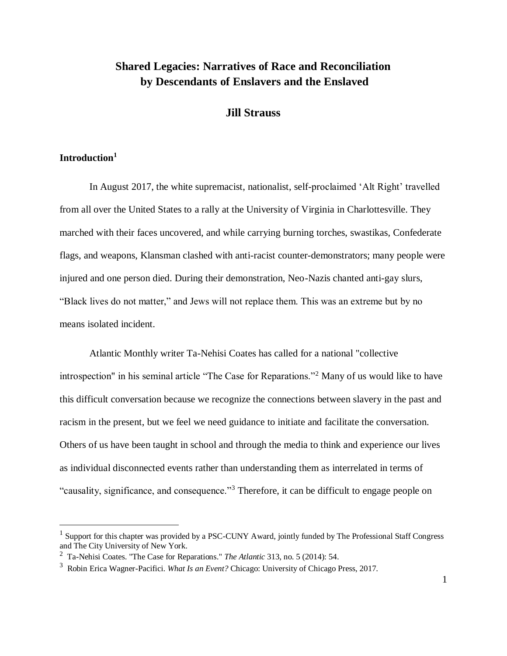# **Shared Legacies: Narratives of Race and Reconciliation by Descendants of Enslavers and the Enslaved**

## **Jill Strauss**

## **Introduction<sup>1</sup>**

 $\overline{a}$ 

In August 2017, the white supremacist, nationalist, self-proclaimed 'Alt Right' travelled from all over the United States to a rally at the University of Virginia in Charlottesville. They marched with their faces uncovered, and while carrying burning torches, swastikas, Confederate flags, and weapons, Klansman clashed with anti-racist counter-demonstrators; many people were injured and one person died. During their demonstration, Neo-Nazis chanted anti-gay slurs, "Black lives do not matter," and Jews will not replace them. This was an extreme but by no means isolated incident.

Atlantic Monthly writer Ta-Nehisi Coates has called for a national "collective introspection" in his seminal article "The Case for Reparations."<sup>2</sup> Many of us would like to have this difficult conversation because we recognize the connections between slavery in the past and racism in the present, but we feel we need guidance to initiate and facilitate the conversation. Others of us have been taught in school and through the media to think and experience our lives as individual disconnected events rather than understanding them as interrelated in terms of "causality, significance, and consequence."<sup>3</sup> Therefore, it can be difficult to engage people on

<sup>&</sup>lt;sup>1</sup> Support for this chapter was provided by a PSC-CUNY Award, jointly funded by The Professional Staff Congress and The City University of New York.

<sup>2</sup> Ta-Nehisi Coates. "The Case for Reparations." *The Atlantic* 313, no. 5 (2014): 54.

<sup>3</sup> Robin Erica Wagner-Pacifici. *What Is an Event?* Chicago: University of Chicago Press, 2017.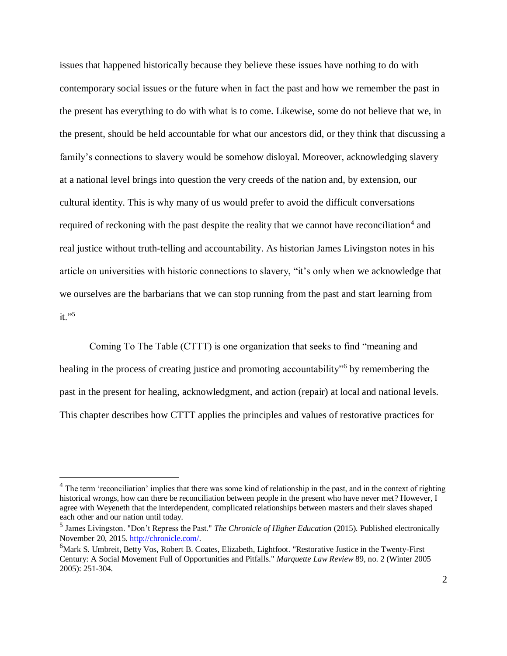issues that happened historically because they believe these issues have nothing to do with contemporary social issues or the future when in fact the past and how we remember the past in the present has everything to do with what is to come. Likewise, some do not believe that we, in the present, should be held accountable for what our ancestors did, or they think that discussing a family's connections to slavery would be somehow disloyal. Moreover, acknowledging slavery at a national level brings into question the very creeds of the nation and, by extension, our cultural identity. This is why many of us would prefer to avoid the difficult conversations required of reckoning with the past despite the reality that we cannot have reconciliation<sup>4</sup> and real justice without truth-telling and accountability. As historian James Livingston notes in his article on universities with historic connections to slavery, "it's only when we acknowledge that we ourselves are the barbarians that we can stop running from the past and start learning from it." $5$ 

Coming To The Table (CTTT) is one organization that seeks to find "meaning and healing in the process of creating justice and promoting accountability<sup>56</sup> by remembering the past in the present for healing, acknowledgment, and action (repair) at local and national levels. This chapter describes how CTTT applies the principles and values of restorative practices for

<sup>&</sup>lt;sup>4</sup> The term 'reconciliation' implies that there was some kind of relationship in the past, and in the context of righting historical wrongs, how can there be reconciliation between people in the present who have never met? However, I agree with Weyeneth that the interdependent, complicated relationships between masters and their slaves shaped each other and our nation until today.

<sup>5</sup> James Livingston. "Don't Repress the Past." *The Chronicle of Higher Education* (2015). Published electronically November 20, 2015[. http://chronicle.com/.](http://chronicle.com/)

<sup>&</sup>lt;sup>6</sup>Mark S. Umbreit, Betty Vos, Robert B. Coates, Elizabeth, Lightfoot. "Restorative Justice in the Twenty-First Century: A Social Movement Full of Opportunities and Pitfalls." *Marquette Law Review* 89, no. 2 (Winter 2005 2005): 251-304.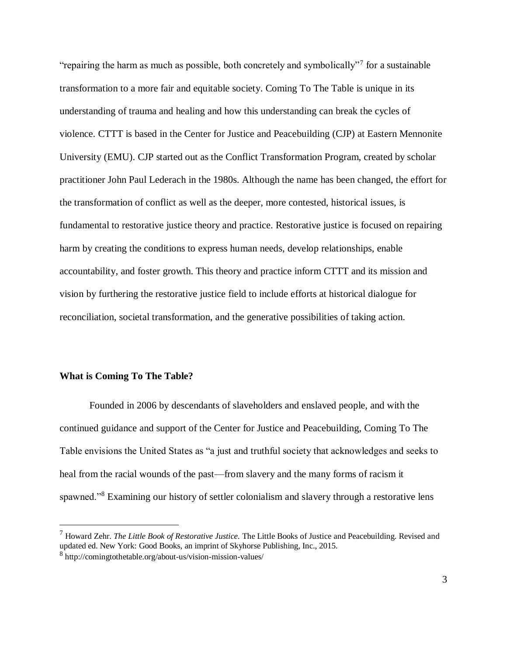"repairing the harm as much as possible, both concretely and symbolically"<sup>7</sup> for a sustainable transformation to a more fair and equitable society. Coming To The Table is unique in its understanding of trauma and healing and how this understanding can break the cycles of violence. CTTT is based in the Center for Justice and Peacebuilding (CJP) at Eastern Mennonite University (EMU). CJP started out as the Conflict Transformation Program, created by scholar practitioner John Paul Lederach in the 1980s. Although the name has been changed, the effort for the transformation of conflict as well as the deeper, more contested, historical issues, is fundamental to restorative justice theory and practice. Restorative justice is focused on repairing harm by creating the conditions to express human needs, develop relationships, enable accountability, and foster growth. This theory and practice inform CTTT and its mission and vision by furthering the restorative justice field to include efforts at historical dialogue for reconciliation, societal transformation, and the generative possibilities of taking action.

#### **What is Coming To The Table?**

 $\overline{a}$ 

Founded in 2006 by descendants of slaveholders and enslaved people, and with the continued guidance and support of the Center for Justice and Peacebuilding, Coming To The Table envisions the United States as "a just and truthful society that acknowledges and seeks to heal from the racial wounds of the past—from slavery and the many forms of racism it spawned."<sup>8</sup> Examining our history of settler colonialism and slavery through a restorative lens

<sup>7</sup> Howard Zehr. *The Little Book of Restorative Justice.* The Little Books of Justice and Peacebuilding. Revised and updated ed. New York: Good Books, an imprint of Skyhorse Publishing, Inc., 2015.

<sup>8</sup> http://comingtothetable.org/about-us/vision-mission-values/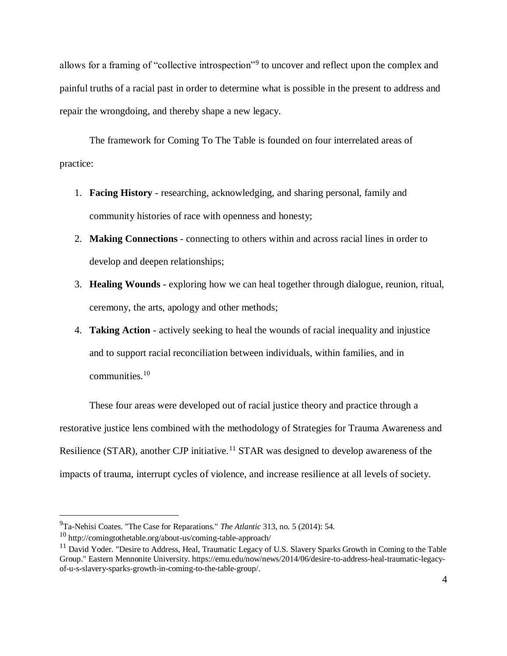allows for a framing of "collective introspection"<sup>9</sup> to uncover and reflect upon the complex and painful truths of a racial past in order to determine what is possible in the present to address and repair the wrongdoing, and thereby shape a new legacy.

The framework for Coming To The Table is founded on four interrelated areas of practice:

- 1. **Facing History** researching, acknowledging, and sharing personal, family and community histories of race with openness and honesty;
- 2. **Making Connections** connecting to others within and across racial lines in order to develop and deepen relationships;
- 3. **Healing Wounds** exploring how we can heal together through dialogue, reunion, ritual, ceremony, the arts, apology and other methods;
- 4. **Taking Action** actively seeking to heal the wounds of racial inequality and injustice and to support racial reconciliation between individuals, within families, and in communities.<sup>10</sup>

These four areas were developed out of racial justice theory and practice through a restorative justice lens combined with the methodology of Strategies for Trauma Awareness and Resilience (STAR), another CJP initiative.<sup>11</sup> STAR was designed to develop awareness of the impacts of trauma, interrupt cycles of violence, and increase resilience at all levels of society.

<sup>9</sup>Ta-Nehisi Coates. "The Case for Reparations." *The Atlantic* 313, no. 5 (2014): 54.

<sup>10</sup> http://comingtothetable.org/about-us/coming-table-approach/

<sup>&</sup>lt;sup>11</sup> David Yoder. "Desire to Address, Heal, Traumatic Legacy of U.S. Slavery Sparks Growth in Coming to the Table Group." Eastern Mennonite University. https://emu.edu/now/news/2014/06/desire-to-address-heal-traumatic-legacyof-u-s-slavery-sparks-growth-in-coming-to-the-table-group/.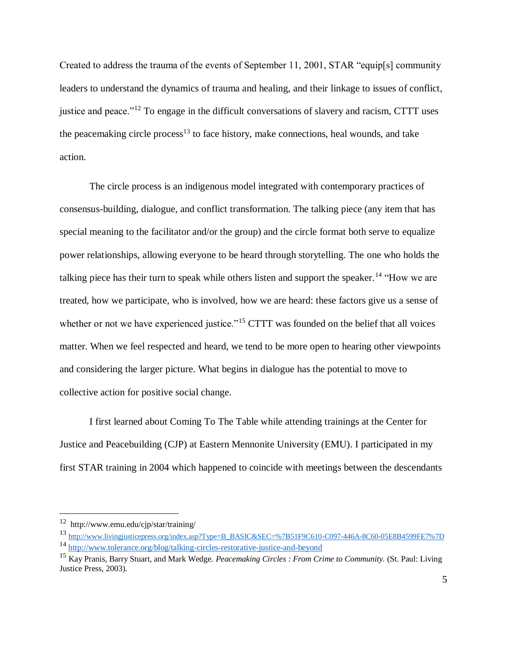Created to address the trauma of the events of September 11, 2001, STAR "equip[s] community leaders to understand the dynamics of trauma and healing, and their linkage to issues of conflict, justice and peace."<sup>12</sup> To engage in the difficult conversations of slavery and racism, CTTT uses the peacemaking circle process<sup>13</sup> to face history, make connections, heal wounds, and take action.

The circle process is an indigenous model integrated with contemporary practices of consensus-building, dialogue, and conflict transformation. The talking piece (any item that has special meaning to the facilitator and/or the group) and the circle format both serve to equalize power relationships, allowing everyone to be heard through storytelling. The one who holds the talking piece has their turn to speak while others listen and support the speaker.<sup>14</sup> "How we are treated, how we participate, who is involved, how we are heard: these factors give us a sense of whether or not we have experienced justice."<sup>15</sup> CTTT was founded on the belief that all voices matter. When we feel respected and heard, we tend to be more open to hearing other viewpoints and considering the larger picture. What begins in dialogue has the potential to move to collective action for positive social change.

I first learned about Coming To The Table while attending trainings at the Center for Justice and Peacebuilding (CJP) at Eastern Mennonite University (EMU). I participated in my first STAR training in 2004 which happened to coincide with meetings between the descendants

<sup>12</sup> http://www.emu.edu/cjp/star/training/

<sup>13</sup> [http://www.livingjusticepress.org/index.asp?Type=B\\_BASIC&SEC=%7B51F9C610-C097-446A-8C60-05E8B4599FE7%7D](http://www.livingjusticepress.org/index.asp?Type=B_BASIC&SEC=%7B51F9C610-C097-446A-8C60-05E8B4599FE7%7D) <sup>14</sup> <http://www.tolerance.org/blog/talking-circles-restorative-justice-and-beyond>

<sup>15</sup> Kay Pranis, Barry Stuart, and Mark Wedge. *Peacemaking Circles : From Crime to Community.* (St. Paul: Living Justice Press, 2003).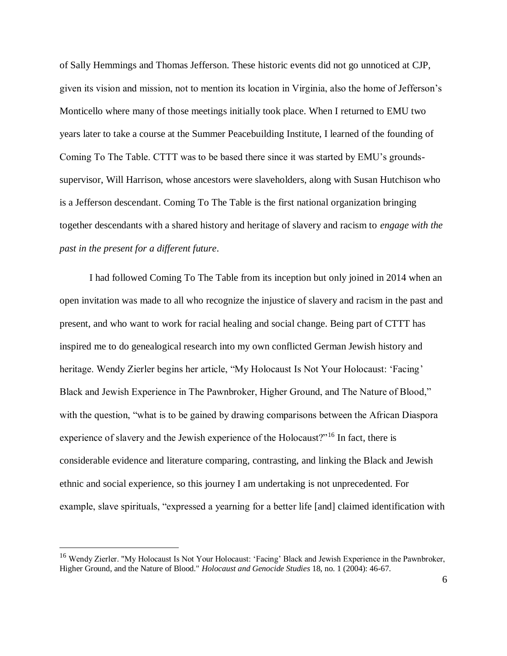of Sally Hemmings and Thomas Jefferson. These historic events did not go unnoticed at CJP, given its vision and mission, not to mention its location in Virginia, also the home of Jefferson's Monticello where many of those meetings initially took place. When I returned to EMU two years later to take a course at the Summer Peacebuilding Institute, I learned of the founding of Coming To The Table. CTTT was to be based there since it was started by EMU's groundssupervisor, Will Harrison, whose ancestors were slaveholders, along with Susan Hutchison who is a Jefferson descendant. Coming To The Table is the first national organization bringing together descendants with a shared history and heritage of slavery and racism to *engage with the past in the present for a different future*.

I had followed Coming To The Table from its inception but only joined in 2014 when an open invitation was made to all who recognize the injustice of slavery and racism in the past and present, and who want to work for racial healing and social change. Being part of CTTT has inspired me to do genealogical research into my own conflicted German Jewish history and heritage. Wendy Zierler begins her article, "My Holocaust Is Not Your Holocaust: 'Facing' Black and Jewish Experience in The Pawnbroker, Higher Ground, and The Nature of Blood," with the question, "what is to be gained by drawing comparisons between the African Diaspora experience of slavery and the Jewish experience of the Holocaust?"<sup>16</sup> In fact, there is considerable evidence and literature comparing, contrasting, and linking the Black and Jewish ethnic and social experience, so this journey I am undertaking is not unprecedented. For example, slave spirituals, "expressed a yearning for a better life [and] claimed identification with

<sup>&</sup>lt;sup>16</sup> Wendy Zierler. "My Holocaust Is Not Your Holocaust: 'Facing' Black and Jewish Experience in the Pawnbroker, Higher Ground, and the Nature of Blood." *Holocaust and Genocide Studies* 18, no. 1 (2004): 46-67.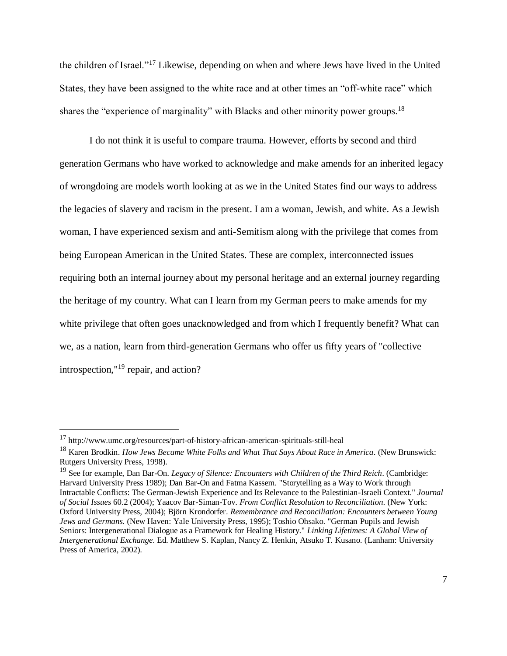the children of Israel."<sup>17</sup> Likewise, depending on when and where Jews have lived in the United States, they have been assigned to the white race and at other times an "off-white race" which shares the "experience of marginality" with Blacks and other minority power groups.<sup>18</sup>

I do not think it is useful to compare trauma. However, efforts by second and third generation Germans who have worked to acknowledge and make amends for an inherited legacy of wrongdoing are models worth looking at as we in the United States find our ways to address the legacies of slavery and racism in the present. I am a woman, Jewish, and white. As a Jewish woman, I have experienced sexism and anti-Semitism along with the privilege that comes from being European American in the United States. These are complex, interconnected issues requiring both an internal journey about my personal heritage and an external journey regarding the heritage of my country. What can I learn from my German peers to make amends for my white privilege that often goes unacknowledged and from which I frequently benefit? What can we, as a nation, learn from third-generation Germans who offer us fifty years of "collective introspection,"<sup>19</sup> repair, and action?

 $17$  http://www.umc.org/resources/part-of-history-african-american-spirituals-still-heal

<sup>18</sup> Karen Brodkin. *How Jews Became White Folks and What That Says About Race in America*. (New Brunswick: Rutgers University Press, 1998).

<sup>19</sup> See for example, Dan Bar-On. *Legacy of Silence: Encounters with Children of the Third Reich*. [\(Cambridge:](https://www.google.com/search?client=firefox-b-1&q=Cambridge,+Massachusetts&stick=H4sIAAAAAAAAAOPgE-LUz9U3MMm1yDNT4gAxDQszzLWMMsqt9JPzc3JSk0sy8_P084vSE_MyqxJBnGKrjNTElMLSxKKS1KJihZz8ZLDwIlYJ58TcpKLMlPRUHQXfxOLixOSM0uLUkpJiADuS_wJmAAAA&sa=X&ved=2ahUKEwiv0ZOx_53gAhWjd98KHR3MCzgQmxMoATAaegQIBhAO&biw=1536&bih=728) Harvard University Press 1989); Dan Bar-On and Fatma Kassem. "Storytelling as a Way to Work through Intractable Conflicts: The German-Jewish Experience and Its Relevance to the Palestinian-Israeli Context." *Journal of Social Issues* 60.2 (2004); Yaacov Bar-Siman-Tov. *From Conflict Resolution to Reconciliation*. (New York: Oxford University Press, 2004); Björn Krondorfer. *Remembrance and Reconciliation: Encounters between Young Jews and Germans*. (New Haven: Yale University Press, 1995); Toshio Ohsako. "German Pupils and Jewish Seniors: Intergenerational Dialogue as a Framework for Healing History." *Linking Lifetimes: A Global View of Intergenerational Exchange*. Ed. Matthew S. Kaplan, Nancy Z. Henkin, Atsuko T. Kusano. [\(Lanham:](https://www.google.com/search?client=firefox-b-1&q=Lanham,+Maryland&stick=H4sIAAAAAAAAAOPgE-LSz9U3MCo0rSjKUuIEs00KjQq1jDLKrfST83NyUpNLMvPz9POL0hPzMqsSQZxiq4zUxJTC0sSiktSiYoWc_GSw8CJWAZ_EvIzEXB0F38SiypzEvBQAVCt9cWAAAAA&sa=X&ved=2ahUKEwiukvK-gJ7gAhUniOAKHUG5BuMQmxMoATAQegQIBRAO&biw=1536&bih=728) University Press of America, 2002).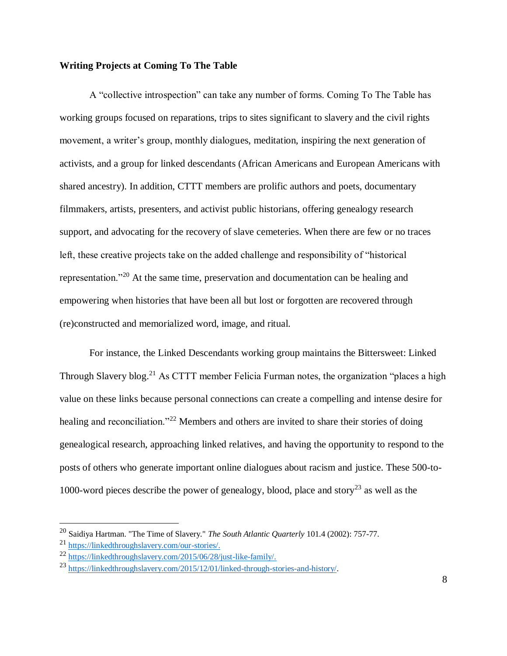# **Writing Projects at Coming To The Table**

A "collective introspection" can take any number of forms. Coming To The Table has working groups focused on reparations, trips to sites significant to slavery and the civil rights movement, a writer's group, monthly dialogues, meditation, inspiring the next generation of activists, and a group for linked descendants (African Americans and European Americans with shared ancestry). In addition, CTTT members are prolific authors and poets, documentary filmmakers, artists, presenters, and activist public historians, offering genealogy research support, and advocating for the recovery of slave cemeteries. When there are few or no traces left, these creative projects take on the added challenge and responsibility of "historical representation."<sup>20</sup> At the same time, preservation and documentation can be healing and empowering when histories that have been all but lost or forgotten are recovered through (re)constructed and memorialized word, image, and ritual.

For instance, the Linked Descendants working group maintains the Bittersweet: Linked Through Slavery blog.<sup>21</sup> As CTTT member Felicia Furman notes, the organization "places a high value on these links because personal connections can create a compelling and intense desire for healing and reconciliation."<sup>22</sup> Members and others are invited to share their stories of doing genealogical research, approaching linked relatives, and having the opportunity to respond to the posts of others who generate important online dialogues about racism and justice. These 500-to-1000-word pieces describe the power of genealogy, blood, place and story<sup>23</sup> as well as the

<sup>20</sup> Saidiya Hartman. "The Time of Slavery." *The South Atlantic Quarterly* 101.4 (2002): 757-77.

<sup>21</sup> [https://linkedthroughslavery.com/our-stories/.](https://linkedthroughslavery.com/our-stories/)

<sup>22</sup> [https://linkedthroughslavery.com/2015/06/28/just-like-family/.](https://linkedthroughslavery.com/2015/06/28/just-like-family/)

<sup>23</sup> [https://linkedthroughslavery.com/2015/12/01/linked-through-stories-and-history/.](https://linkedthroughslavery.com/2015/12/01/linked-through-stories-and-history/)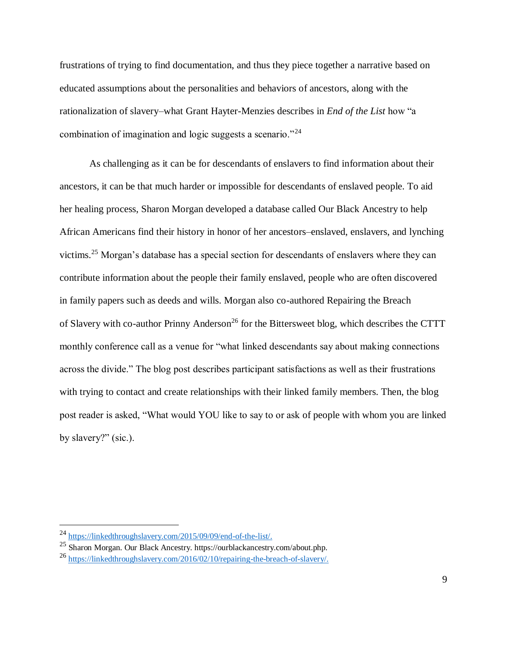frustrations of trying to find documentation, and thus they piece together a narrative based on educated assumptions about the personalities and behaviors of ancestors, along with the rationalization of slavery–what Grant Hayter-Menzies describes in *End of the List* how "a combination of imagination and logic suggests a scenario."<sup>24</sup>

As challenging as it can be for descendants of enslavers to find information about their ancestors, it can be that much harder or impossible for descendants of enslaved people. To aid her healing process, Sharon Morgan developed a database called Our Black Ancestry to help African Americans find their history in honor of her ancestors–enslaved, enslavers, and lynching victims.<sup>25</sup> Morgan's database has a special section for descendants of enslavers where they can contribute information about the people their family enslaved, people who are often discovered in family papers such as deeds and wills. Morgan also co-authored Repairing the Breach of Slavery with co-author Prinny Anderson<sup>26</sup> for the Bittersweet blog, which describes the CTTT monthly conference call as a venue for "what linked descendants say about making connections across the divide." The blog post describes participant satisfactions as well as their frustrations with trying to contact and create relationships with their linked family members. Then, the blog post reader is asked, "What would YOU like to say to or ask of people with whom you are linked by slavery?" (sic.).

<sup>24</sup> [https://linkedthroughslavery.com/2015/09/09/end-of-the-list/.](https://linkedthroughslavery.com/2015/09/09/end-of-the-list/)

<sup>25</sup> Sharon Morgan. Our Black Ancestry. https://ourblackancestry.com/about.php.

<sup>26</sup> [https://linkedthroughslavery.com/2016/02/10/repairing-the-breach-of-slavery/.](https://linkedthroughslavery.com/2016/02/10/repairing-the-breach-of-slavery/)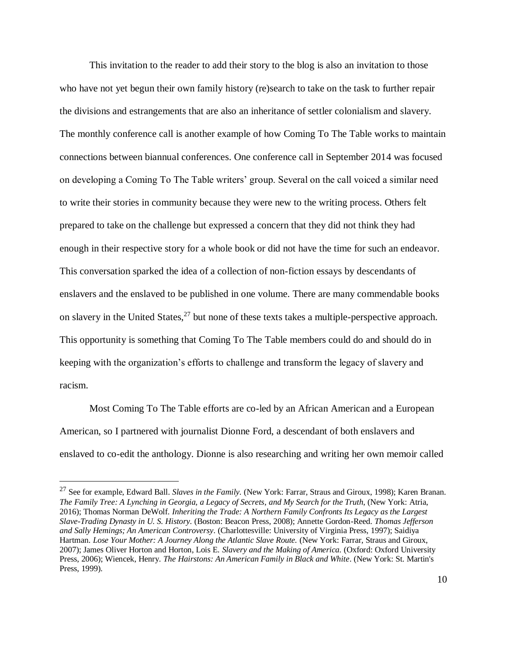This invitation to the reader to add their story to the blog is also an invitation to those who have not yet begun their own family history (re)search to take on the task to further repair the divisions and estrangements that are also an inheritance of settler colonialism and slavery. The monthly conference call is another example of how Coming To The Table works to maintain connections between biannual conferences. One conference call in September 2014 was focused on developing a Coming To The Table writers' group. Several on the call voiced a similar need to write their stories in community because they were new to the writing process. Others felt prepared to take on the challenge but expressed a concern that they did not think they had enough in their respective story for a whole book or did not have the time for such an endeavor. This conversation sparked the idea of a collection of non-fiction essays by descendants of enslavers and the enslaved to be published in one volume. There are many commendable books on slavery in the United States,<sup>27</sup> but none of these texts takes a multiple-perspective approach. This opportunity is something that Coming To The Table members could do and should do in keeping with the organization's efforts to challenge and transform the legacy of slavery and racism.

Most Coming To The Table efforts are co-led by an African American and a European American, so I partnered with journalist Dionne Ford, a descendant of both enslavers and enslaved to co-edit the anthology. Dionne is also researching and writing her own memoir called

<sup>27</sup> See for example, Edward Ball. *Slaves in the Family.* (New York: Farrar, Straus and Giroux, 1998); Karen Branan. *The Family Tree: A Lynching in Georgia, a Legacy of Secrets*, *and My Search for the Truth*, (New York: Atria, 2016); Thomas Norman DeWolf. *Inheriting the Trade: A Northern Family Confronts Its Legacy as the Largest Slave-Trading Dynasty in U. S. History.* (Boston: Beacon Press, 2008); Annette Gordon-Reed. *Thomas Jefferson and Sally Hemings; An American Controversy*. (Charlottesville: University of Virginia Press, 1997); Saidiya Hartman. *Lose Your Mother: A Journey Along the Atlantic Slave Route.* (New York: Farrar, Straus and Giroux, 2007); James Oliver Horton and Horton, Lois E. *Slavery and the Making of America.* (Oxford: Oxford University Press, 2006); Wiencek, Henry. *The Hairstons: An American Family in Black and White*. (New York: St. Martin's Press, 1999).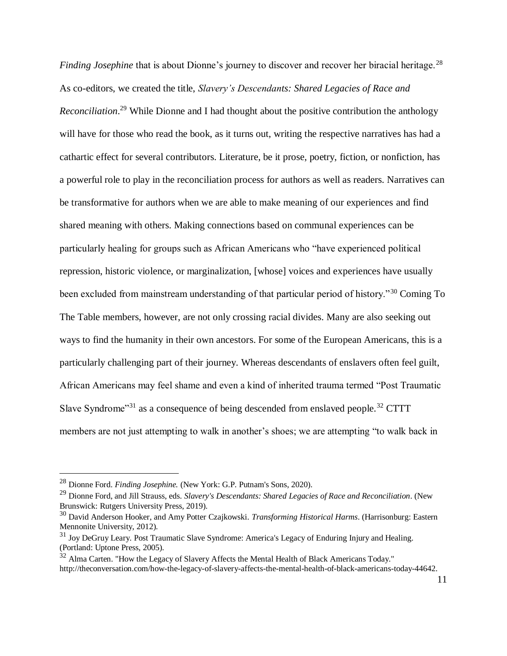*Finding Josephine* that is about Dionne's journey to discover and recover her biracial heritage.<sup>28</sup> As co-editors, we created the title, *Slavery's Descendants: Shared Legacies of Race and Reconciliation*. <sup>29</sup> While Dionne and I had thought about the positive contribution the anthology will have for those who read the book, as it turns out, writing the respective narratives has had a cathartic effect for several contributors. Literature, be it prose, poetry, fiction, or nonfiction, has a powerful role to play in the reconciliation process for authors as well as readers. Narratives can be transformative for authors when we are able to make meaning of our experiences and find shared meaning with others. Making connections based on communal experiences can be particularly healing for groups such as African Americans who "have experienced political repression, historic violence, or marginalization, [whose] voices and experiences have usually been excluded from mainstream understanding of that particular period of history."<sup>30</sup> Coming To The Table members, however, are not only crossing racial divides. Many are also seeking out ways to find the humanity in their own ancestors. For some of the European Americans, this is a particularly challenging part of their journey. Whereas descendants of enslavers often feel guilt, African Americans may feel shame and even a kind of inherited trauma termed "Post Traumatic Slave Syndrome"<sup>31</sup> as a consequence of being descended from enslaved people.<sup>32</sup> CTTT members are not just attempting to walk in another's shoes; we are attempting "to walk back in

<sup>28</sup> Dionne Ford. *Finding Josephine.* (New York: G.P. Putnam's Sons, 2020).

<sup>29</sup> Dionne Ford, and Jill Strauss, eds. *Slavery's Descendants: Shared Legacies of Race and Reconciliation*. (New Brunswick: Rutgers University Press, 2019).

<sup>30</sup> David Anderson Hooker, and Amy Potter Czajkowski. *Transforming Historical Harms*. (Harrisonburg: Eastern Mennonite University, 2012).

<sup>&</sup>lt;sup>31</sup> Joy DeGruy Leary. Post Traumatic Slave Syndrome: America's Legacy of Enduring Injury and Healing. (Portland: Uptone Press, 2005).

<sup>&</sup>lt;sup>32</sup> Alma Carten. "How the Legacy of Slavery Affects the Mental Health of Black Americans Today." http://theconversation.com/how-the-legacy-of-slavery-affects-the-mental-health-of-black-americans-today-44642.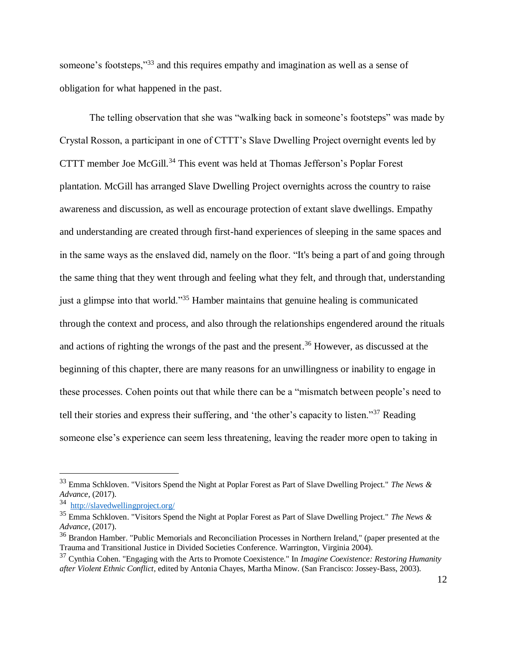someone's footsteps,"<sup>33</sup> and this requires empathy and imagination as well as a sense of obligation for what happened in the past.

The telling observation that she was "walking back in someone's footsteps" was made by Crystal Rosson, a participant in one of CTTT's Slave Dwelling Project overnight events led by CTTT member Joe McGill.<sup>34</sup> This event was held at Thomas Jefferson's Poplar Forest plantation. McGill has arranged Slave Dwelling Project overnights across the country to raise awareness and discussion, as well as encourage protection of extant slave dwellings. Empathy and understanding are created through first-hand experiences of sleeping in the same spaces and in the same ways as the enslaved did, namely on the floor. "It's being a part of and going through the same thing that they went through and feeling what they felt, and through that, understanding just a glimpse into that world."<sup>35</sup> Hamber maintains that genuine healing is communicated through the context and process, and also through the relationships engendered around the rituals and actions of righting the wrongs of the past and the present. <sup>36</sup> However, as discussed at the beginning of this chapter, there are many reasons for an unwillingness or inability to engage in these processes. Cohen points out that while there can be a "mismatch between people's need to tell their stories and express their suffering, and 'the other's capacity to listen."<sup>37</sup> Reading someone else's experience can seem less threatening, leaving the reader more open to taking in

<sup>33</sup> Emma Schkloven. "Visitors Spend the Night at Poplar Forest as Part of Slave Dwelling Project." *The News & Advance*, (2017).

<sup>34</sup> <http://slavedwellingproject.org/>

<sup>35</sup> Emma Schkloven. "Visitors Spend the Night at Poplar Forest as Part of Slave Dwelling Project." *The News & Advance*, (2017).

<sup>&</sup>lt;sup>36</sup> Brandon Hamber. "Public Memorials and Reconciliation Processes in Northern Ireland," (paper presented at the Trauma and Transitional Justice in Divided Societies Conference. Warrington, Virginia 2004).

<sup>37</sup> Cynthia Cohen. "Engaging with the Arts to Promote Coexistence." In *Imagine Coexistence: Restoring Humanity after Violent Ethnic Conflict*, edited by Antonia Chayes, Martha Minow. (San Francisco: Jossey-Bass, 2003).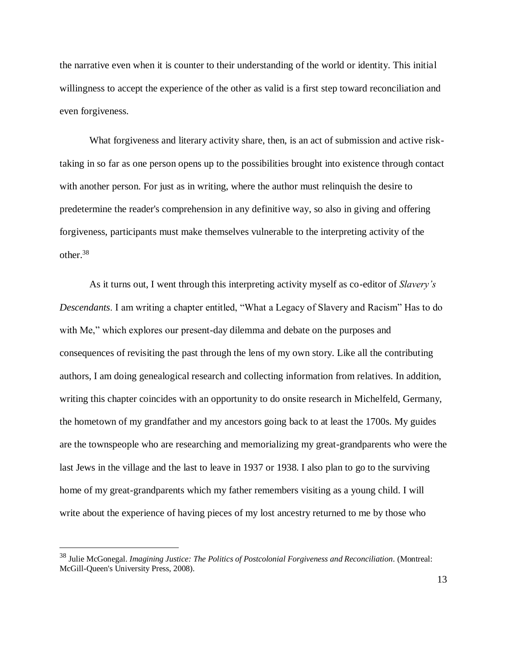the narrative even when it is counter to their understanding of the world or identity. This initial willingness to accept the experience of the other as valid is a first step toward reconciliation and even forgiveness.

What forgiveness and literary activity share, then, is an act of submission and active risktaking in so far as one person opens up to the possibilities brought into existence through contact with another person. For just as in writing, where the author must relinquish the desire to predetermine the reader's comprehension in any definitive way, so also in giving and offering forgiveness, participants must make themselves vulnerable to the interpreting activity of the other.<sup>38</sup>

As it turns out, I went through this interpreting activity myself as co-editor of *Slavery's Descendants*. I am writing a chapter entitled, "What a Legacy of Slavery and Racism" Has to do with Me," which explores our present-day dilemma and debate on the purposes and consequences of revisiting the past through the lens of my own story. Like all the contributing authors, I am doing genealogical research and collecting information from relatives. In addition, writing this chapter coincides with an opportunity to do onsite research in Michelfeld, Germany, the hometown of my grandfather and my ancestors going back to at least the 1700s. My guides are the townspeople who are researching and memorializing my great-grandparents who were the last Jews in the village and the last to leave in 1937 or 1938. I also plan to go to the surviving home of my great-grandparents which my father remembers visiting as a young child. I will write about the experience of having pieces of my lost ancestry returned to me by those who

<sup>38</sup> Julie McGonegal. *Imagining Justice: The Politics of Postcolonial Forgiveness and Reconciliation*. (Montreal: McGill-Queen's University Press, 2008).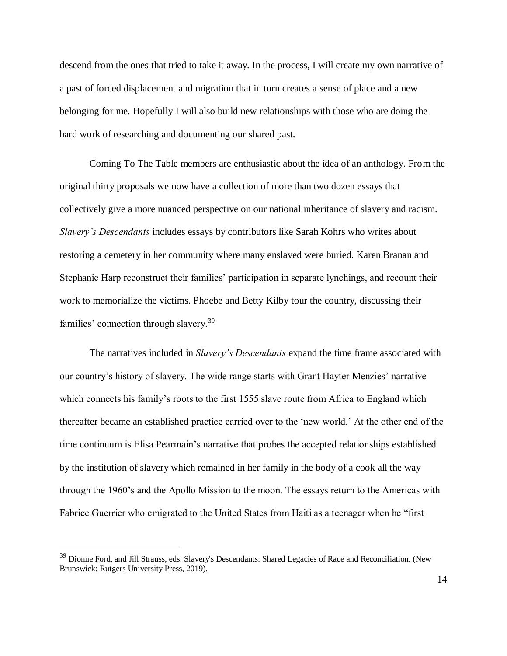descend from the ones that tried to take it away. In the process, I will create my own narrative of a past of forced displacement and migration that in turn creates a sense of place and a new belonging for me. Hopefully I will also build new relationships with those who are doing the hard work of researching and documenting our shared past.

Coming To The Table members are enthusiastic about the idea of an anthology. From the original thirty proposals we now have a collection of more than two dozen essays that collectively give a more nuanced perspective on our national inheritance of slavery and racism. *Slavery's Descendants* includes essays by contributors like Sarah Kohrs who writes about restoring a cemetery in her community where many enslaved were buried. Karen Branan and Stephanie Harp reconstruct their families' participation in separate lynchings, and recount their work to memorialize the victims. Phoebe and Betty Kilby tour the country, discussing their families' connection through slavery.<sup>39</sup>

The narratives included in *Slavery's Descendants* expand the time frame associated with our country's history of slavery. The wide range starts with Grant Hayter Menzies' narrative which connects his family's roots to the first 1555 slave route from Africa to England which thereafter became an established practice carried over to the 'new world.' At the other end of the time continuum is Elisa Pearmain's narrative that probes the accepted relationships established by the institution of slavery which remained in her family in the body of a cook all the way through the 1960's and the Apollo Mission to the moon. The essays return to the Americas with Fabrice Guerrier who emigrated to the United States from Haiti as a teenager when he "first

<sup>&</sup>lt;sup>39</sup> Dionne Ford, and Jill Strauss, eds. Slavery's Descendants: Shared Legacies of Race and Reconciliation. (New Brunswick: Rutgers University Press, 2019).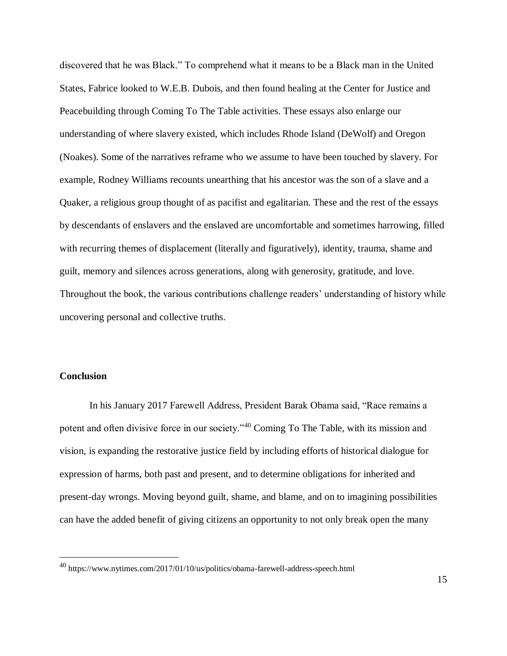discovered that he was Black." To comprehend what it means to be a Black man in the United States, Fabrice looked to W.E.B. Dubois, and then found healing at the Center for Justice and Peacebuilding through Coming To The Table activities. These essays also enlarge our understanding of where slavery existed, which includes Rhode Island (DeWolf) and Oregon (Noakes). Some of the narratives reframe who we assume to have been touched by slavery. For example, Rodney Williams recounts unearthing that his ancestor was the son of a slave and a Quaker, a religious group thought of as pacifist and egalitarian. These and the rest of the essays by descendants of enslavers and the enslaved are uncomfortable and sometimes harrowing, filled with recurring themes of displacement (literally and figuratively), identity, trauma, shame and guilt, memory and silences across generations, along with generosity, gratitude, and love. Throughout the book, the various contributions challenge readers' understanding of history while uncovering personal and collective truths.

## **Conclusion**

 $\overline{a}$ 

In his January 2017 Farewell Address, President Barak Obama said, "Race remains a potent and often divisive force in our society."<sup>40</sup> Coming To The Table, with its mission and vision, is expanding the restorative justice field by including efforts of historical dialogue for expression of harms, both past and present, and to determine obligations for inherited and present-day wrongs. Moving beyond guilt, shame, and blame, and on to imagining possibilities can have the added benefit of giving citizens an opportunity to not only break open the many

<sup>40</sup> https://www.nytimes.com/2017/01/10/us/politics/obama-farewell-address-speech.html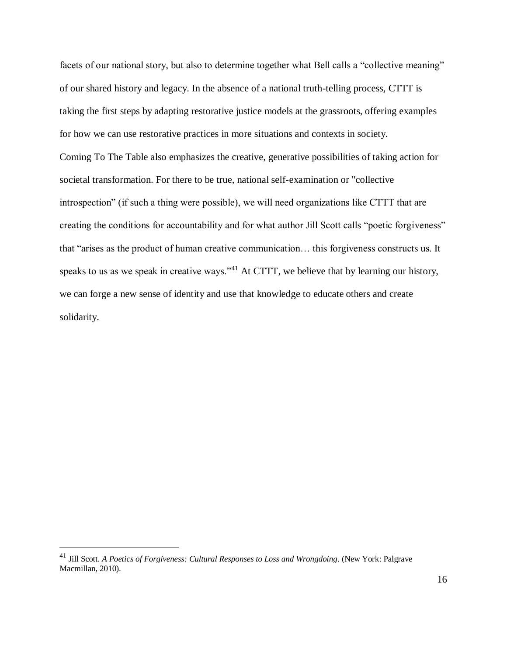facets of our national story, but also to determine together what Bell calls a "collective meaning" of our shared history and legacy. In the absence of a national truth-telling process, CTTT is taking the first steps by adapting restorative justice models at the grassroots, offering examples for how we can use restorative practices in more situations and contexts in society. Coming To The Table also emphasizes the creative, generative possibilities of taking action for societal transformation. For there to be true, national self-examination or "collective introspection" (if such a thing were possible), we will need organizations like CTTT that are creating the conditions for accountability and for what author Jill Scott calls "poetic forgiveness" that "arises as the product of human creative communication… this forgiveness constructs us. It speaks to us as we speak in creative ways."<sup>41</sup> At CTTT, we believe that by learning our history, we can forge a new sense of identity and use that knowledge to educate others and create solidarity.

<sup>41</sup> Jill Scott. *A Poetics of Forgiveness: Cultural Responses to Loss and Wrongdoing*. (New York: Palgrave Macmillan, 2010).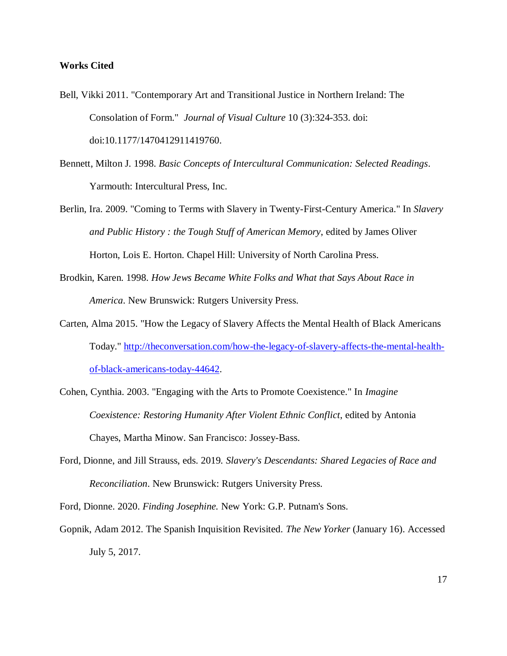### **Works Cited**

- Bell, Vikki 2011. "Contemporary Art and Transitional Justice in Northern Ireland: The Consolation of Form." *Journal of Visual Culture* 10 (3):324-353. doi: doi:10.1177/1470412911419760.
- Bennett, Milton J. 1998. *Basic Concepts of Intercultural Communication: Selected Readings*. Yarmouth: Intercultural Press, Inc.
- Berlin, Ira. 2009. "Coming to Terms with Slavery in Twenty-First-Century America." In *Slavery and Public History : the Tough Stuff of American Memory*, edited by James Oliver Horton, Lois E. Horton. Chapel Hill: University of North Carolina Press.
- Brodkin, Karen. 1998. *How Jews Became White Folks and What that Says About Race in America*. New Brunswick: Rutgers University Press.
- Carten, Alma 2015. "How the Legacy of Slavery Affects the Mental Health of Black Americans Today." [http://theconversation.com/how-the-legacy-of-slavery-affects-the-mental-health](http://theconversation.com/how-the-legacy-of-slavery-affects-the-mental-health-of-black-americans-today-44642)[of-black-americans-today-44642.](http://theconversation.com/how-the-legacy-of-slavery-affects-the-mental-health-of-black-americans-today-44642)
- Cohen, Cynthia. 2003. "Engaging with the Arts to Promote Coexistence." In *Imagine Coexistence: Restoring Humanity After Violent Ethnic Conflict*, edited by Antonia Chayes, Martha Minow. San Francisco: Jossey-Bass.
- Ford, Dionne, and Jill Strauss, eds. 2019. *Slavery's Descendants: Shared Legacies of Race and Reconciliation*. New Brunswick: Rutgers University Press.

Ford, Dionne. 2020. *Finding Josephine.* New York: G.P. Putnam's Sons.

Gopnik, Adam 2012. The Spanish Inquisition Revisited. *The New Yorker* (January 16). Accessed July 5, 2017.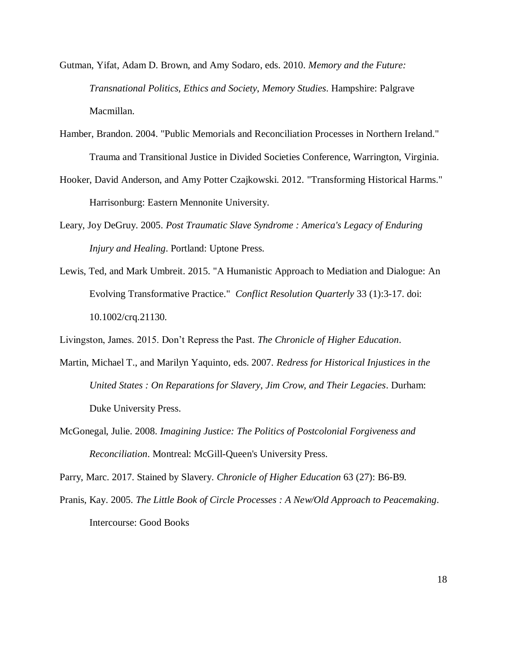- Gutman, Yifat, Adam D. Brown, and Amy Sodaro, eds. 2010. *Memory and the Future: Transnational Politics, Ethics and Society*, *Memory Studies*. Hampshire: Palgrave Macmillan.
- Hamber, Brandon. 2004. "Public Memorials and Reconciliation Processes in Northern Ireland." Trauma and Transitional Justice in Divided Societies Conference, Warrington, Virginia.
- Hooker, David Anderson, and Amy Potter Czajkowski. 2012. "Transforming Historical Harms." Harrisonburg: Eastern Mennonite University.
- Leary, Joy DeGruy. 2005. *Post Traumatic Slave Syndrome : America's Legacy of Enduring Injury and Healing*. Portland: Uptone Press.
- Lewis, Ted, and Mark Umbreit. 2015. "A Humanistic Approach to Mediation and Dialogue: An Evolving Transformative Practice." *Conflict Resolution Quarterly* 33 (1):3-17. doi: 10.1002/crq.21130.

Livingston, James. 2015. Don't Repress the Past. *The Chronicle of Higher Education*.

- Martin, Michael T., and Marilyn Yaquinto, eds. 2007. *Redress for Historical Injustices in the United States : On Reparations for Slavery, Jim Crow, and Their Legacies*. Durham: Duke University Press.
- McGonegal, Julie. 2008. *Imagining Justice: The Politics of Postcolonial Forgiveness and Reconciliation*. Montreal: McGill-Queen's University Press.

Parry, Marc. 2017. Stained by Slavery. *Chronicle of Higher Education* 63 (27): B6-B9.

Pranis, Kay. 2005. *The Little Book of Circle Processes : A New/Old Approach to Peacemaking*. Intercourse: Good Books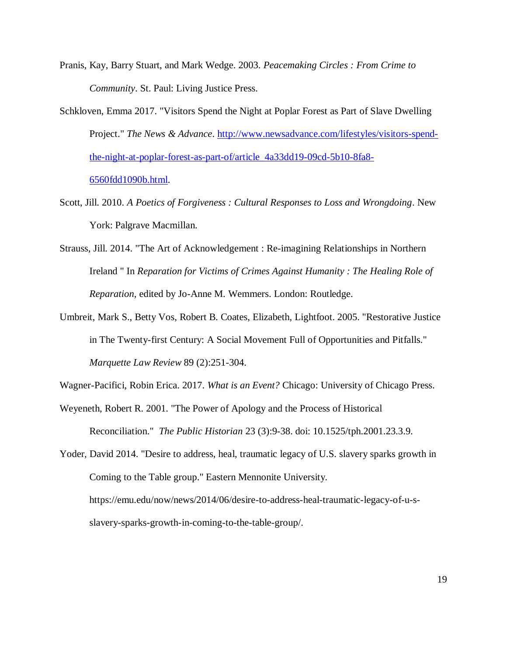- Pranis, Kay, Barry Stuart, and Mark Wedge. 2003. *Peacemaking Circles : From Crime to Community*. St. Paul: Living Justice Press.
- Schkloven, Emma 2017. "Visitors Spend the Night at Poplar Forest as Part of Slave Dwelling Project." *The News & Advance*. [http://www.newsadvance.com/lifestyles/visitors-spend](http://www.newsadvance.com/lifestyles/visitors-spend-the-night-at-poplar-forest-as-part-of/article_4a33dd19-09cd-5b10-8fa8-6560fdd1090b.html)[the-night-at-poplar-forest-as-part-of/article\\_4a33dd19-09cd-5b10-8fa8-](http://www.newsadvance.com/lifestyles/visitors-spend-the-night-at-poplar-forest-as-part-of/article_4a33dd19-09cd-5b10-8fa8-6560fdd1090b.html) [6560fdd1090b.html.](http://www.newsadvance.com/lifestyles/visitors-spend-the-night-at-poplar-forest-as-part-of/article_4a33dd19-09cd-5b10-8fa8-6560fdd1090b.html)
- Scott, Jill. 2010. *A Poetics of Forgiveness : Cultural Responses to Loss and Wrongdoing*. New York: Palgrave Macmillan.
- Strauss, Jill. 2014. "The Art of Acknowledgement : Re-imagining Relationships in Northern Ireland " In *Reparation for Victims of Crimes Against Humanity : The Healing Role of Reparation*, edited by Jo-Anne M. Wemmers. London: Routledge.
- Umbreit, Mark S., Betty Vos, Robert B. Coates, Elizabeth, Lightfoot. 2005. "Restorative Justice in The Twenty-first Century: A Social Movement Full of Opportunities and Pitfalls." *Marquette Law Review* 89 (2):251-304.

Wagner-Pacifici, Robin Erica. 2017. *What is an Event?* Chicago: University of Chicago Press.

Weyeneth, Robert R. 2001. "The Power of Apology and the Process of Historical Reconciliation." *The Public Historian* 23 (3):9-38. doi: 10.1525/tph.2001.23.3.9.

Yoder, David 2014. "Desire to address, heal, traumatic legacy of U.S. slavery sparks growth in Coming to the Table group." Eastern Mennonite University. https://emu.edu/now/news/2014/06/desire-to-address-heal-traumatic-legacy-of-u-sslavery-sparks-growth-in-coming-to-the-table-group/.